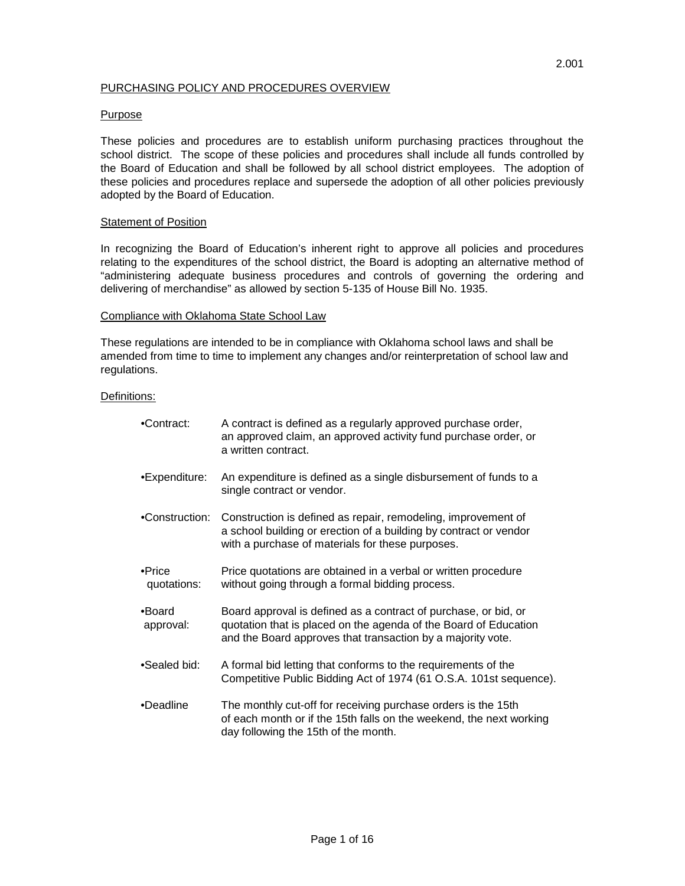## PURCHASING POLICY AND PROCEDURES OVERVIEW

### Purpose

These policies and procedures are to establish uniform purchasing practices throughout the school district. The scope of these policies and procedures shall include all funds controlled by the Board of Education and shall be followed by all school district employees. The adoption of these policies and procedures replace and supersede the adoption of all other policies previously adopted by the Board of Education.

#### **Statement of Position**

In recognizing the Board of Education's inherent right to approve all policies and procedures relating to the expenditures of the school district, the Board is adopting an alternative method of "administering adequate business procedures and controls of governing the ordering and delivering of merchandise" as allowed by section 5-135 of House Bill No. 1935.

#### Compliance with Oklahoma State School Law

These regulations are intended to be in compliance with Oklahoma school laws and shall be amended from time to time to implement any changes and/or reinterpretation of school law and regulations.

#### Definitions:

| •Contract:            | A contract is defined as a regularly approved purchase order,<br>an approved claim, an approved activity fund purchase order, or<br>a written contract.                                            |
|-----------------------|----------------------------------------------------------------------------------------------------------------------------------------------------------------------------------------------------|
| •Expenditure:         | An expenditure is defined as a single disbursement of funds to a<br>single contract or vendor.                                                                                                     |
| •Construction:        | Construction is defined as repair, remodeling, improvement of<br>a school building or erection of a building by contract or vendor<br>with a purchase of materials for these purposes.             |
| •Price<br>quotations: | Price quotations are obtained in a verbal or written procedure<br>without going through a formal bidding process.                                                                                  |
| •Board<br>approval:   | Board approval is defined as a contract of purchase, or bid, or<br>quotation that is placed on the agenda of the Board of Education<br>and the Board approves that transaction by a majority vote. |
| •Sealed bid:          | A formal bid letting that conforms to the requirements of the<br>Competitive Public Bidding Act of 1974 (61 O.S.A. 101st sequence).                                                                |
| •Deadline             | The monthly cut-off for receiving purchase orders is the 15th<br>of each month or if the 15th falls on the weekend, the next working<br>day following the 15th of the month.                       |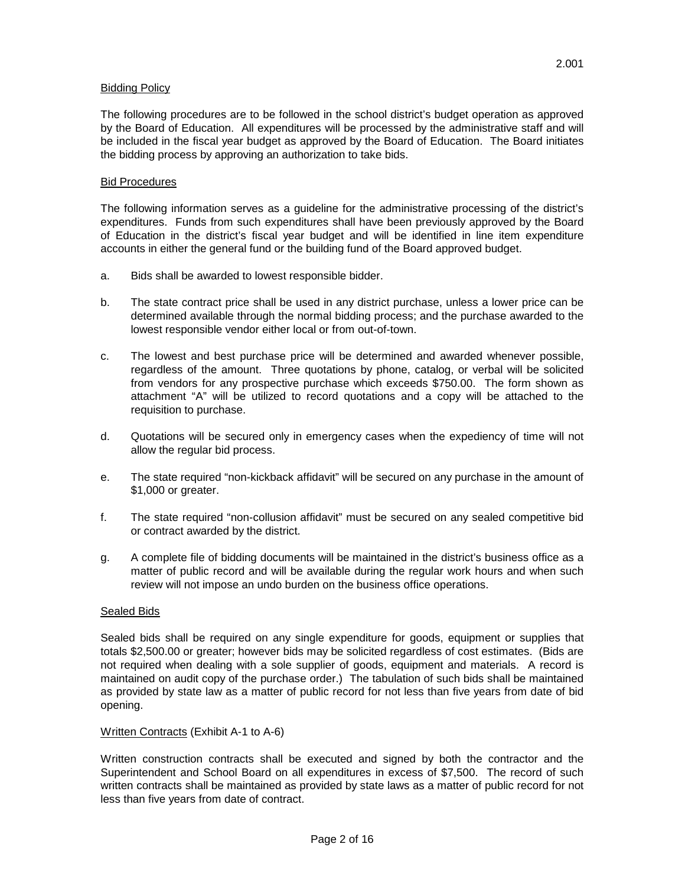### Bidding Policy

The following procedures are to be followed in the school district's budget operation as approved by the Board of Education. All expenditures will be processed by the administrative staff and will be included in the fiscal year budget as approved by the Board of Education. The Board initiates the bidding process by approving an authorization to take bids.

### Bid Procedures

The following information serves as a guideline for the administrative processing of the district's expenditures. Funds from such expenditures shall have been previously approved by the Board of Education in the district's fiscal year budget and will be identified in line item expenditure accounts in either the general fund or the building fund of the Board approved budget.

- a. Bids shall be awarded to lowest responsible bidder.
- b. The state contract price shall be used in any district purchase, unless a lower price can be determined available through the normal bidding process; and the purchase awarded to the lowest responsible vendor either local or from out-of-town.
- c. The lowest and best purchase price will be determined and awarded whenever possible, regardless of the amount. Three quotations by phone, catalog, or verbal will be solicited from vendors for any prospective purchase which exceeds \$750.00. The form shown as attachment "A" will be utilized to record quotations and a copy will be attached to the requisition to purchase.
- d. Quotations will be secured only in emergency cases when the expediency of time will not allow the regular bid process.
- e. The state required "non-kickback affidavit" will be secured on any purchase in the amount of \$1,000 or greater.
- f. The state required "non-collusion affidavit" must be secured on any sealed competitive bid or contract awarded by the district.
- g. A complete file of bidding documents will be maintained in the district's business office as a matter of public record and will be available during the regular work hours and when such review will not impose an undo burden on the business office operations.

#### Sealed Bids

Sealed bids shall be required on any single expenditure for goods, equipment or supplies that totals \$2,500.00 or greater; however bids may be solicited regardless of cost estimates. (Bids are not required when dealing with a sole supplier of goods, equipment and materials. A record is maintained on audit copy of the purchase order.) The tabulation of such bids shall be maintained as provided by state law as a matter of public record for not less than five years from date of bid opening.

#### Written Contracts (Exhibit A-1 to A-6)

Written construction contracts shall be executed and signed by both the contractor and the Superintendent and School Board on all expenditures in excess of \$7,500. The record of such written contracts shall be maintained as provided by state laws as a matter of public record for not less than five years from date of contract.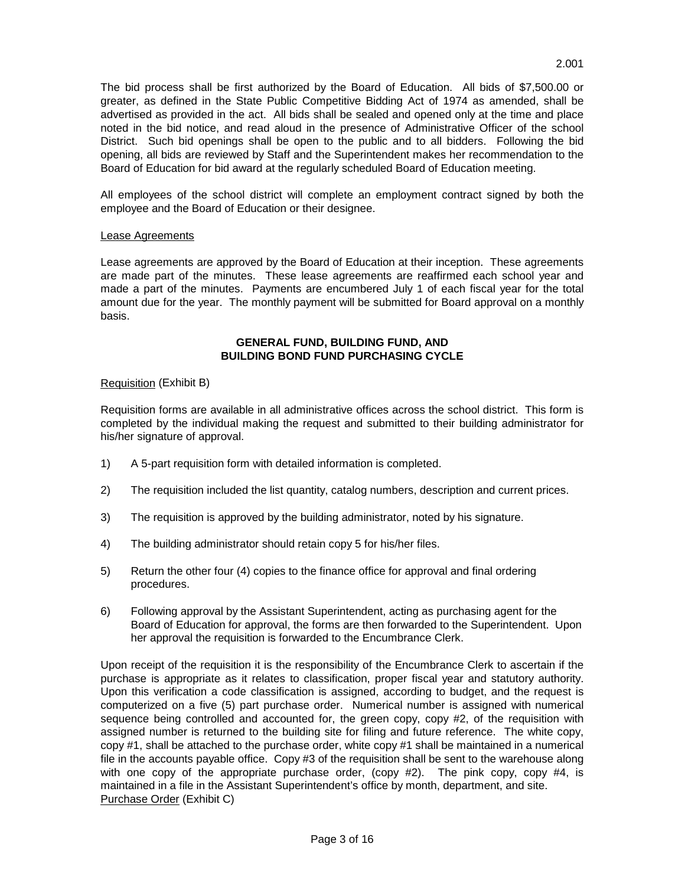The bid process shall be first authorized by the Board of Education. All bids of \$7,500.00 or greater, as defined in the State Public Competitive Bidding Act of 1974 as amended, shall be advertised as provided in the act. All bids shall be sealed and opened only at the time and place noted in the bid notice, and read aloud in the presence of Administrative Officer of the school District. Such bid openings shall be open to the public and to all bidders. Following the bid opening, all bids are reviewed by Staff and the Superintendent makes her recommendation to the Board of Education for bid award at the regularly scheduled Board of Education meeting.

All employees of the school district will complete an employment contract signed by both the employee and the Board of Education or their designee.

## Lease Agreements

Lease agreements are approved by the Board of Education at their inception. These agreements are made part of the minutes. These lease agreements are reaffirmed each school year and made a part of the minutes. Payments are encumbered July 1 of each fiscal year for the total amount due for the year. The monthly payment will be submitted for Board approval on a monthly basis.

## **GENERAL FUND, BUILDING FUND, AND BUILDING BOND FUND PURCHASING CYCLE**

### Requisition (Exhibit B)

Requisition forms are available in all administrative offices across the school district. This form is completed by the individual making the request and submitted to their building administrator for his/her signature of approval.

- 1) A 5-part requisition form with detailed information is completed.
- 2) The requisition included the list quantity, catalog numbers, description and current prices.
- 3) The requisition is approved by the building administrator, noted by his signature.
- 4) The building administrator should retain copy 5 for his/her files.
- 5) Return the other four (4) copies to the finance office for approval and final ordering procedures.
- 6) Following approval by the Assistant Superintendent, acting as purchasing agent for the Board of Education for approval, the forms are then forwarded to the Superintendent. Upon her approval the requisition is forwarded to the Encumbrance Clerk.

Upon receipt of the requisition it is the responsibility of the Encumbrance Clerk to ascertain if the purchase is appropriate as it relates to classification, proper fiscal year and statutory authority. Upon this verification a code classification is assigned, according to budget, and the request is computerized on a five (5) part purchase order. Numerical number is assigned with numerical sequence being controlled and accounted for, the green copy, copy #2, of the requisition with assigned number is returned to the building site for filing and future reference. The white copy, copy #1, shall be attached to the purchase order, white copy #1 shall be maintained in a numerical file in the accounts payable office. Copy #3 of the requisition shall be sent to the warehouse along with one copy of the appropriate purchase order, (copy  $#2$ ). The pink copy, copy  $#4$ , is maintained in a file in the Assistant Superintendent's office by month, department, and site. Purchase Order (Exhibit C)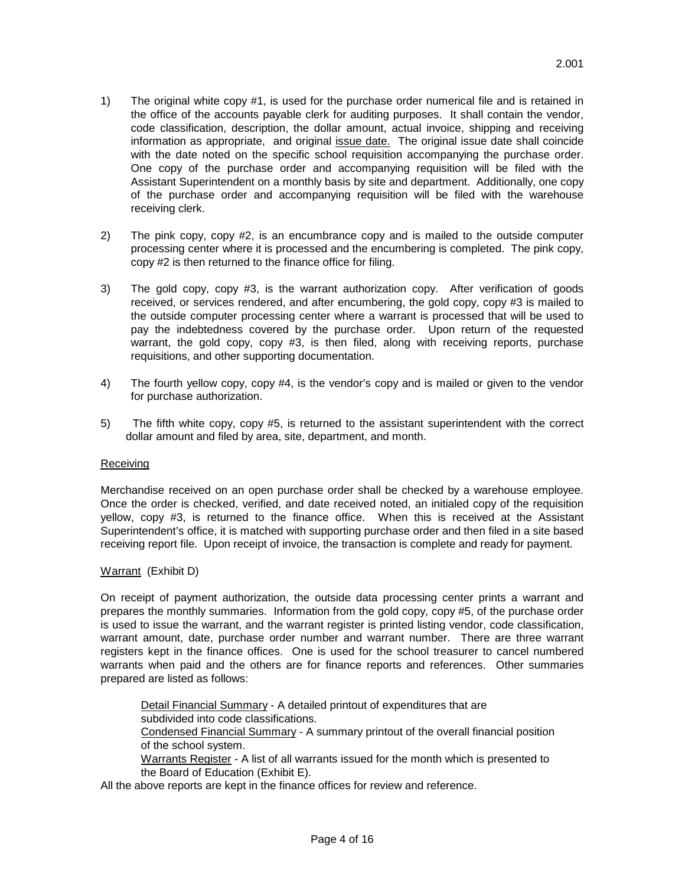- 1) The original white copy #1, is used for the purchase order numerical file and is retained in the office of the accounts payable clerk for auditing purposes. It shall contain the vendor, code classification, description, the dollar amount, actual invoice, shipping and receiving information as appropriate, and original issue date. The original issue date shall coincide with the date noted on the specific school requisition accompanying the purchase order. One copy of the purchase order and accompanying requisition will be filed with the Assistant Superintendent on a monthly basis by site and department. Additionally, one copy of the purchase order and accompanying requisition will be filed with the warehouse receiving clerk.
- 2) The pink copy, copy #2, is an encumbrance copy and is mailed to the outside computer processing center where it is processed and the encumbering is completed. The pink copy, copy #2 is then returned to the finance office for filing.
- 3) The gold copy, copy #3, is the warrant authorization copy. After verification of goods received, or services rendered, and after encumbering, the gold copy, copy #3 is mailed to the outside computer processing center where a warrant is processed that will be used to pay the indebtedness covered by the purchase order. Upon return of the requested warrant, the gold copy, copy #3, is then filed, along with receiving reports, purchase requisitions, and other supporting documentation.
- 4) The fourth yellow copy, copy #4, is the vendor's copy and is mailed or given to the vendor for purchase authorization.
- 5) The fifth white copy, copy #5, is returned to the assistant superintendent with the correct dollar amount and filed by area, site, department, and month.

### Receiving

Merchandise received on an open purchase order shall be checked by a warehouse employee. Once the order is checked, verified, and date received noted, an initialed copy of the requisition yellow, copy #3, is returned to the finance office. When this is received at the Assistant Superintendent's office, it is matched with supporting purchase order and then filed in a site based receiving report file. Upon receipt of invoice, the transaction is complete and ready for payment.

#### Warrant (Exhibit D)

On receipt of payment authorization, the outside data processing center prints a warrant and prepares the monthly summaries. Information from the gold copy, copy #5, of the purchase order is used to issue the warrant, and the warrant register is printed listing vendor, code classification, warrant amount, date, purchase order number and warrant number. There are three warrant registers kept in the finance offices. One is used for the school treasurer to cancel numbered warrants when paid and the others are for finance reports and references. Other summaries prepared are listed as follows:

Detail Financial Summary - A detailed printout of expenditures that are subdivided into code classifications. Condensed Financial Summary - A summary printout of the overall financial position of the school system. Warrants Register - A list of all warrants issued for the month which is presented to the Board of Education (Exhibit E).

All the above reports are kept in the finance offices for review and reference.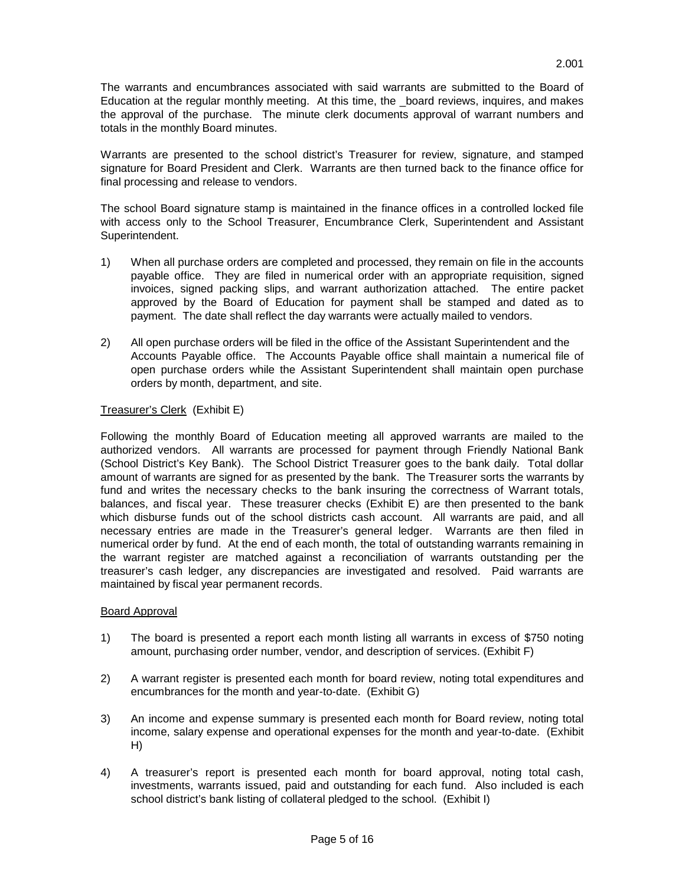The warrants and encumbrances associated with said warrants are submitted to the Board of Education at the regular monthly meeting. At this time, the \_board reviews, inquires, and makes the approval of the purchase. The minute clerk documents approval of warrant numbers and totals in the monthly Board minutes.

Warrants are presented to the school district's Treasurer for review, signature, and stamped signature for Board President and Clerk. Warrants are then turned back to the finance office for final processing and release to vendors.

The school Board signature stamp is maintained in the finance offices in a controlled locked file with access only to the School Treasurer, Encumbrance Clerk, Superintendent and Assistant Superintendent.

- 1) When all purchase orders are completed and processed, they remain on file in the accounts payable office. They are filed in numerical order with an appropriate requisition, signed invoices, signed packing slips, and warrant authorization attached. The entire packet approved by the Board of Education for payment shall be stamped and dated as to payment. The date shall reflect the day warrants were actually mailed to vendors.
- 2) All open purchase orders will be filed in the office of the Assistant Superintendent and the Accounts Payable office. The Accounts Payable office shall maintain a numerical file of open purchase orders while the Assistant Superintendent shall maintain open purchase orders by month, department, and site.

# Treasurer's Clerk (Exhibit E)

Following the monthly Board of Education meeting all approved warrants are mailed to the authorized vendors. All warrants are processed for payment through Friendly National Bank (School District's Key Bank). The School District Treasurer goes to the bank daily. Total dollar amount of warrants are signed for as presented by the bank. The Treasurer sorts the warrants by fund and writes the necessary checks to the bank insuring the correctness of Warrant totals, balances, and fiscal year. These treasurer checks (Exhibit E) are then presented to the bank which disburse funds out of the school districts cash account. All warrants are paid, and all necessary entries are made in the Treasurer's general ledger. Warrants are then filed in numerical order by fund. At the end of each month, the total of outstanding warrants remaining in the warrant register are matched against a reconciliation of warrants outstanding per the treasurer's cash ledger, any discrepancies are investigated and resolved. Paid warrants are maintained by fiscal year permanent records.

## Board Approval

- 1) The board is presented a report each month listing all warrants in excess of \$750 noting amount, purchasing order number, vendor, and description of services. (Exhibit F)
- 2) A warrant register is presented each month for board review, noting total expenditures and encumbrances for the month and year-to-date. (Exhibit G)
- 3) An income and expense summary is presented each month for Board review, noting total income, salary expense and operational expenses for the month and year-to-date. (Exhibit H)
- 4) A treasurer's report is presented each month for board approval, noting total cash, investments, warrants issued, paid and outstanding for each fund. Also included is each school district's bank listing of collateral pledged to the school. (Exhibit I)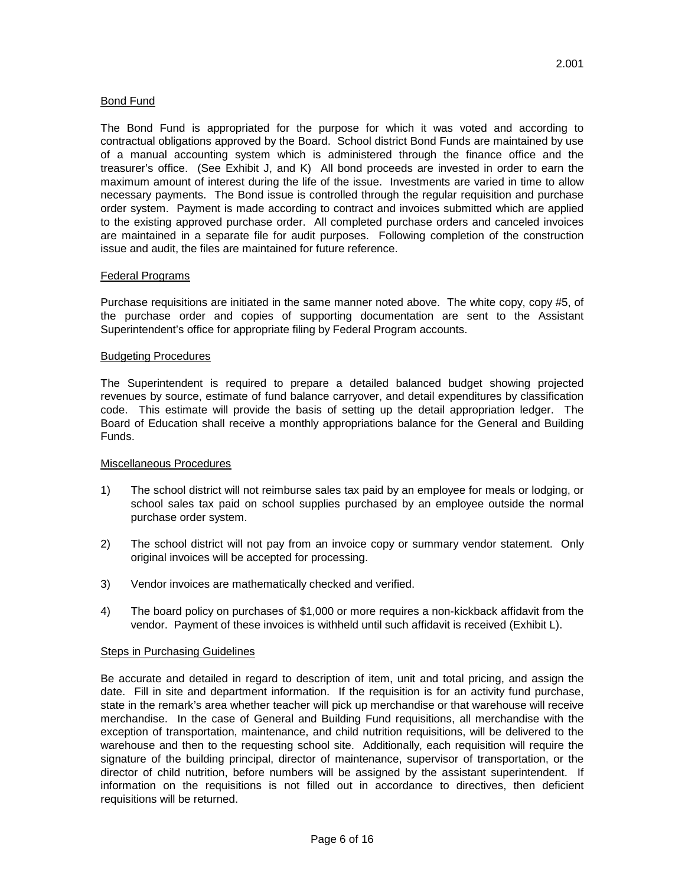## Bond Fund

The Bond Fund is appropriated for the purpose for which it was voted and according to contractual obligations approved by the Board. School district Bond Funds are maintained by use of a manual accounting system which is administered through the finance office and the treasurer's office. (See Exhibit J, and K) All bond proceeds are invested in order to earn the maximum amount of interest during the life of the issue. Investments are varied in time to allow necessary payments. The Bond issue is controlled through the regular requisition and purchase order system. Payment is made according to contract and invoices submitted which are applied to the existing approved purchase order. All completed purchase orders and canceled invoices are maintained in a separate file for audit purposes. Following completion of the construction issue and audit, the files are maintained for future reference.

### Federal Programs

Purchase requisitions are initiated in the same manner noted above. The white copy, copy #5, of the purchase order and copies of supporting documentation are sent to the Assistant Superintendent's office for appropriate filing by Federal Program accounts.

### Budgeting Procedures

The Superintendent is required to prepare a detailed balanced budget showing projected revenues by source, estimate of fund balance carryover, and detail expenditures by classification code. This estimate will provide the basis of setting up the detail appropriation ledger. The Board of Education shall receive a monthly appropriations balance for the General and Building Funds.

### Miscellaneous Procedures

- 1) The school district will not reimburse sales tax paid by an employee for meals or lodging, or school sales tax paid on school supplies purchased by an employee outside the normal purchase order system.
- 2) The school district will not pay from an invoice copy or summary vendor statement. Only original invoices will be accepted for processing.
- 3) Vendor invoices are mathematically checked and verified.
- 4) The board policy on purchases of \$1,000 or more requires a non-kickback affidavit from the vendor. Payment of these invoices is withheld until such affidavit is received (Exhibit L).

### Steps in Purchasing Guidelines

Be accurate and detailed in regard to description of item, unit and total pricing, and assign the date. Fill in site and department information. If the requisition is for an activity fund purchase, state in the remark's area whether teacher will pick up merchandise or that warehouse will receive merchandise. In the case of General and Building Fund requisitions, all merchandise with the exception of transportation, maintenance, and child nutrition requisitions, will be delivered to the warehouse and then to the requesting school site. Additionally, each requisition will require the signature of the building principal, director of maintenance, supervisor of transportation, or the director of child nutrition, before numbers will be assigned by the assistant superintendent. If information on the requisitions is not filled out in accordance to directives, then deficient requisitions will be returned.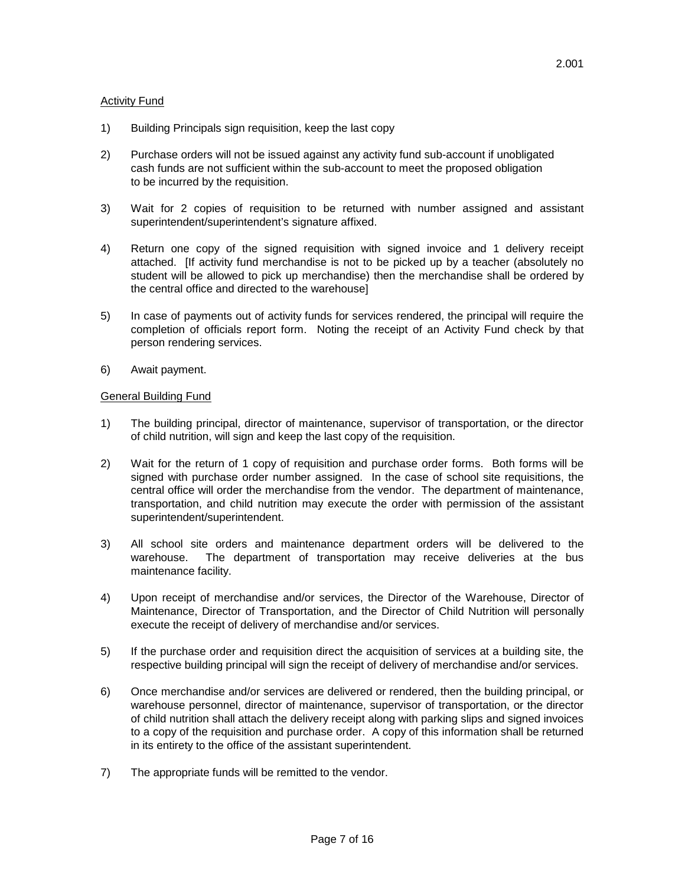## **Activity Fund**

- 1) Building Principals sign requisition, keep the last copy
- 2) Purchase orders will not be issued against any activity fund sub-account if unobligated cash funds are not sufficient within the sub-account to meet the proposed obligation to be incurred by the requisition.
- 3) Wait for 2 copies of requisition to be returned with number assigned and assistant superintendent/superintendent's signature affixed.
- 4) Return one copy of the signed requisition with signed invoice and 1 delivery receipt attached. [If activity fund merchandise is not to be picked up by a teacher (absolutely no student will be allowed to pick up merchandise) then the merchandise shall be ordered by the central office and directed to the warehouse]
- 5) In case of payments out of activity funds for services rendered, the principal will require the completion of officials report form. Noting the receipt of an Activity Fund check by that person rendering services.
- 6) Await payment.

## General Building Fund

- 1) The building principal, director of maintenance, supervisor of transportation, or the director of child nutrition, will sign and keep the last copy of the requisition.
- 2) Wait for the return of 1 copy of requisition and purchase order forms. Both forms will be signed with purchase order number assigned. In the case of school site requisitions, the central office will order the merchandise from the vendor. The department of maintenance, transportation, and child nutrition may execute the order with permission of the assistant superintendent/superintendent.
- 3) All school site orders and maintenance department orders will be delivered to the warehouse. The department of transportation may receive deliveries at the bus maintenance facility.
- 4) Upon receipt of merchandise and/or services, the Director of the Warehouse, Director of Maintenance, Director of Transportation, and the Director of Child Nutrition will personally execute the receipt of delivery of merchandise and/or services.
- 5) If the purchase order and requisition direct the acquisition of services at a building site, the respective building principal will sign the receipt of delivery of merchandise and/or services.
- 6) Once merchandise and/or services are delivered or rendered, then the building principal, or warehouse personnel, director of maintenance, supervisor of transportation, or the director of child nutrition shall attach the delivery receipt along with parking slips and signed invoices to a copy of the requisition and purchase order. A copy of this information shall be returned in its entirety to the office of the assistant superintendent.
- 7) The appropriate funds will be remitted to the vendor.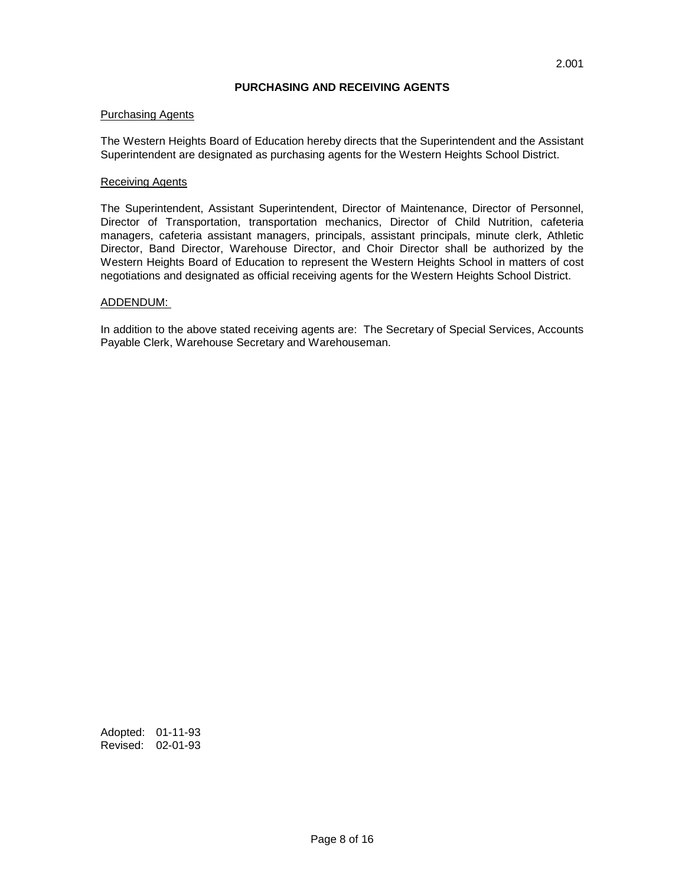## **PURCHASING AND RECEIVING AGENTS**

### Purchasing Agents

The Western Heights Board of Education hereby directs that the Superintendent and the Assistant Superintendent are designated as purchasing agents for the Western Heights School District.

## Receiving Agents

The Superintendent, Assistant Superintendent, Director of Maintenance, Director of Personnel, Director of Transportation, transportation mechanics, Director of Child Nutrition, cafeteria managers, cafeteria assistant managers, principals, assistant principals, minute clerk, Athletic Director, Band Director, Warehouse Director, and Choir Director shall be authorized by the Western Heights Board of Education to represent the Western Heights School in matters of cost negotiations and designated as official receiving agents for the Western Heights School District.

### ADDENDUM:

In addition to the above stated receiving agents are: The Secretary of Special Services, Accounts Payable Clerk, Warehouse Secretary and Warehouseman.

Adopted: 01-11-93 Revised: 02-01-93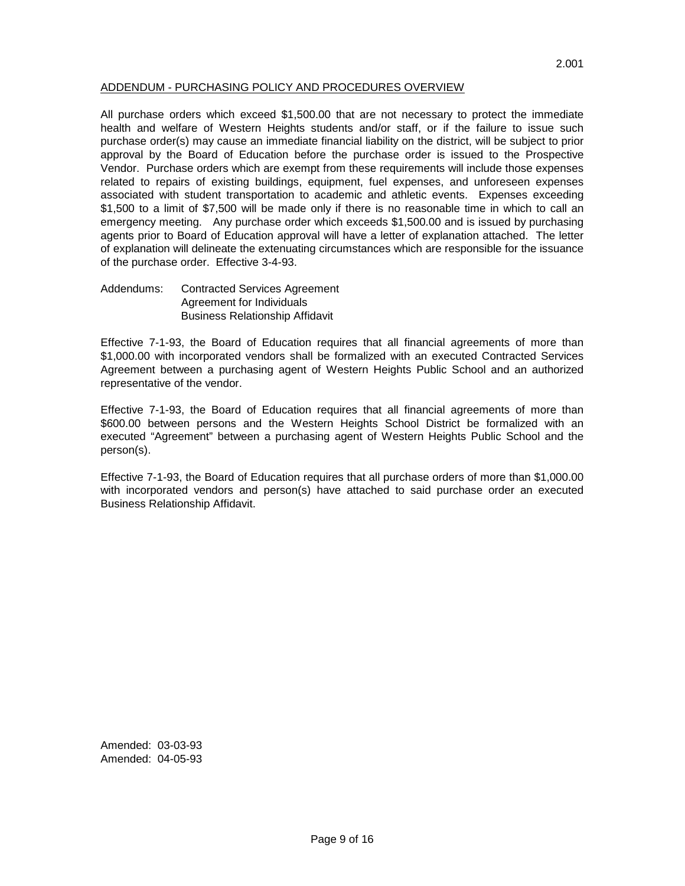## ADDENDUM - PURCHASING POLICY AND PROCEDURES OVERVIEW

All purchase orders which exceed \$1,500.00 that are not necessary to protect the immediate health and welfare of Western Heights students and/or staff, or if the failure to issue such purchase order(s) may cause an immediate financial liability on the district, will be subject to prior approval by the Board of Education before the purchase order is issued to the Prospective Vendor. Purchase orders which are exempt from these requirements will include those expenses related to repairs of existing buildings, equipment, fuel expenses, and unforeseen expenses associated with student transportation to academic and athletic events. Expenses exceeding \$1,500 to a limit of \$7,500 will be made only if there is no reasonable time in which to call an emergency meeting. Any purchase order which exceeds \$1,500.00 and is issued by purchasing agents prior to Board of Education approval will have a letter of explanation attached. The letter of explanation will delineate the extenuating circumstances which are responsible for the issuance of the purchase order. Effective 3-4-93.

Addendums: Contracted Services Agreement Agreement for Individuals Business Relationship Affidavit

Effective 7-1-93, the Board of Education requires that all financial agreements of more than \$1,000.00 with incorporated vendors shall be formalized with an executed Contracted Services Agreement between a purchasing agent of Western Heights Public School and an authorized representative of the vendor.

Effective 7-1-93, the Board of Education requires that all financial agreements of more than \$600.00 between persons and the Western Heights School District be formalized with an executed "Agreement" between a purchasing agent of Western Heights Public School and the person(s).

Effective 7-1-93, the Board of Education requires that all purchase orders of more than \$1,000.00 with incorporated vendors and person(s) have attached to said purchase order an executed Business Relationship Affidavit.

Amended: 03-03-93 Amended: 04-05-93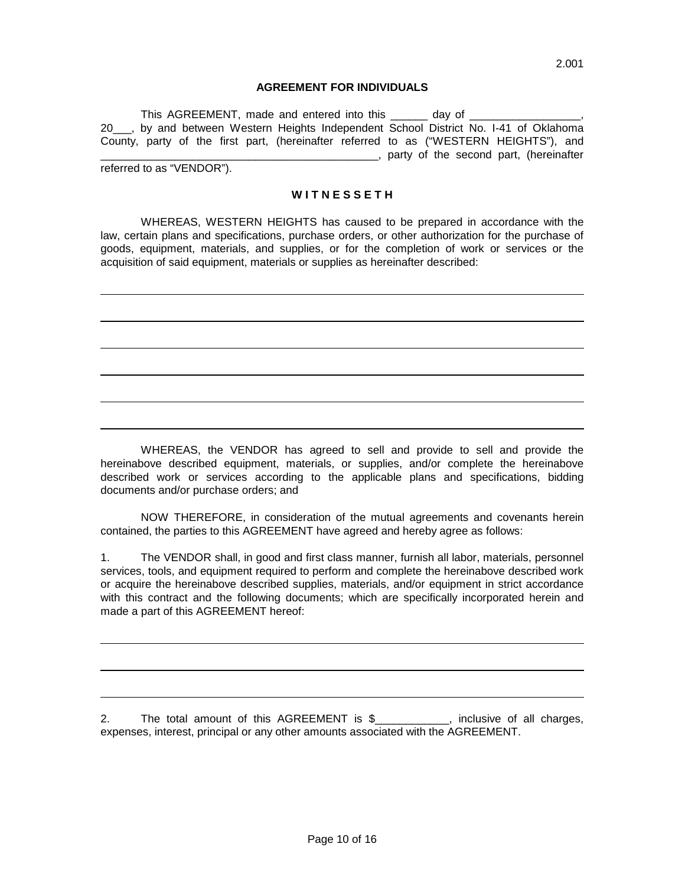### **AGREEMENT FOR INDIVIDUALS**

This AGREEMENT, made and entered into this day of 20\_\_\_, by and between Western Heights Independent School District No. I-41 of Oklahoma County, party of the first part, (hereinafter referred to as ("WESTERN HEIGHTS"), and \_\_\_\_\_\_\_\_\_\_\_\_\_\_\_\_\_\_\_\_\_\_\_\_\_\_\_\_\_\_\_\_\_\_\_\_\_\_\_\_\_\_\_\_\_, party of the second part, (hereinafter

referred to as "VENDOR").

#### **W I T N E S S E T H**

WHEREAS, WESTERN HEIGHTS has caused to be prepared in accordance with the law, certain plans and specifications, purchase orders, or other authorization for the purchase of goods, equipment, materials, and supplies, or for the completion of work or services or the acquisition of said equipment, materials or supplies as hereinafter described:

WHEREAS, the VENDOR has agreed to sell and provide to sell and provide the hereinabove described equipment, materials, or supplies, and/or complete the hereinabove described work or services according to the applicable plans and specifications, bidding documents and/or purchase orders; and

NOW THEREFORE, in consideration of the mutual agreements and covenants herein contained, the parties to this AGREEMENT have agreed and hereby agree as follows:

1. The VENDOR shall, in good and first class manner, furnish all labor, materials, personnel services, tools, and equipment required to perform and complete the hereinabove described work or acquire the hereinabove described supplies, materials, and/or equipment in strict accordance with this contract and the following documents; which are specifically incorporated herein and made a part of this AGREEMENT hereof:

2. The total amount of this AGREEMENT is \$\_\_\_\_\_\_\_\_\_\_, inclusive of all charges, expenses, interest, principal or any other amounts associated with the AGREEMENT.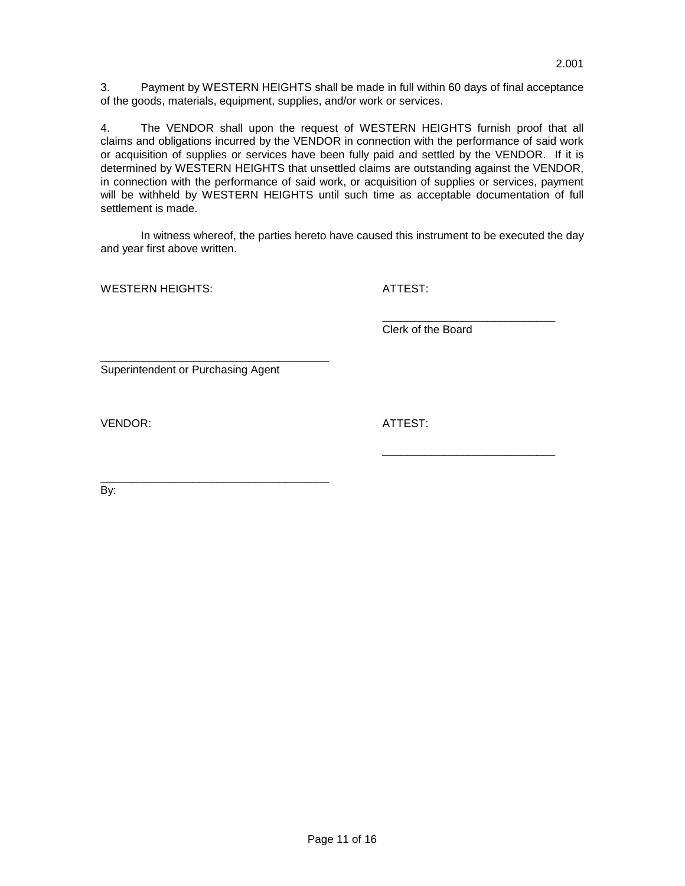3. Payment by WESTERN HEIGHTS shall be made in full within 60 days of final acceptance of the goods, materials, equipment, supplies, and/or work or services.

4. The VENDOR shall upon the request of WESTERN HEIGHTS furnish proof that all claims and obligations incurred by the VENDOR in connection with the performance of said work or acquisition of supplies or services have been fully paid and settled by the VENDOR. If it is determined by WESTERN HEIGHTS that unsettled claims are outstanding against the VENDOR, in connection with the performance of said work, or acquisition of supplies or services, payment will be withheld by WESTERN HEIGHTS until such time as acceptable documentation of full settlement is made.

In witness whereof, the parties hereto have caused this instrument to be executed the day and year first above written.

WESTERN HEIGHTS: ATTEST:

\_\_\_\_\_\_\_\_\_\_\_\_\_\_\_\_\_\_\_\_\_\_\_\_\_\_\_\_ Clerk of the Board

\_\_\_\_\_\_\_\_\_\_\_\_\_\_\_\_\_\_\_\_\_\_\_\_\_\_\_\_

Superintendent or Purchasing Agent

\_\_\_\_\_\_\_\_\_\_\_\_\_\_\_\_\_\_\_\_\_\_\_\_\_\_\_\_\_\_\_\_\_\_\_\_\_

VENDOR: ATTEST:

\_\_\_\_\_\_\_\_\_\_\_\_\_\_\_\_\_\_\_\_\_\_\_\_\_\_\_\_\_\_\_\_\_\_\_\_\_ By: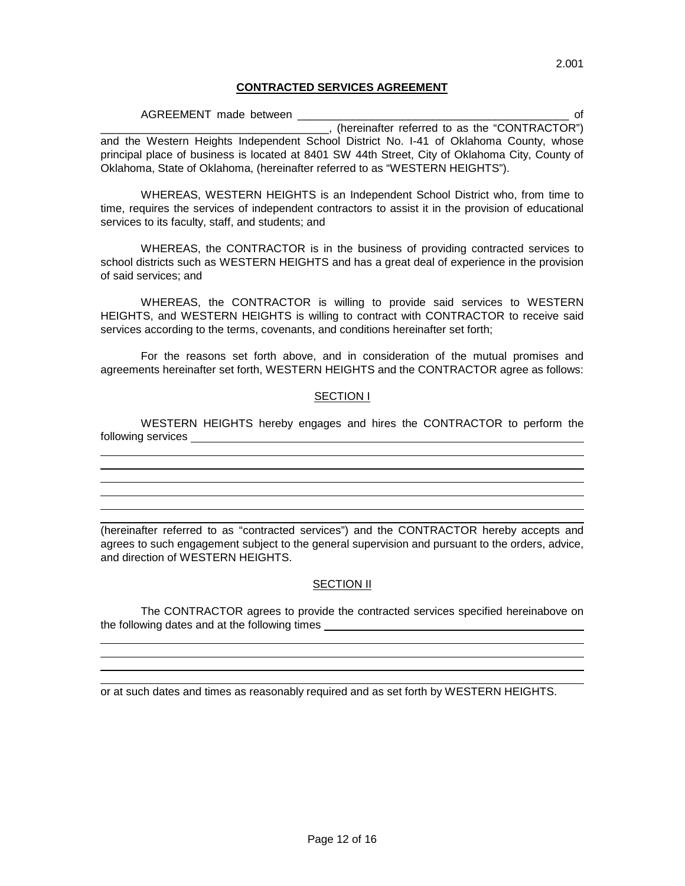WHEREAS, WESTERN HEIGHTS is an Independent School District who, from time to time, requires the services of independent contractors to assist it in the provision of educational services to its faculty, staff, and students; and

WHEREAS, the CONTRACTOR is in the business of providing contracted services to school districts such as WESTERN HEIGHTS and has a great deal of experience in the provision of said services; and

WHEREAS, the CONTRACTOR is willing to provide said services to WESTERN HEIGHTS, and WESTERN HEIGHTS is willing to contract with CONTRACTOR to receive said services according to the terms, covenants, and conditions hereinafter set forth;

For the reasons set forth above, and in consideration of the mutual promises and agreements hereinafter set forth, WESTERN HEIGHTS and the CONTRACTOR agree as follows:

## SECTION I

WESTERN HEIGHTS hereby engages and hires the CONTRACTOR to perform the following services

(hereinafter referred to as "contracted services") and the CONTRACTOR hereby accepts and agrees to such engagement subject to the general supervision and pursuant to the orders, advice, and direction of WESTERN HEIGHTS.

## **SECTION II**

The CONTRACTOR agrees to provide the contracted services specified hereinabove on the following dates and at the following times \_\_\_\_\_\_\_\_\_\_\_\_\_\_\_\_\_\_\_\_\_\_\_\_\_\_\_\_\_\_\_\_\_

or at such dates and times as reasonably required and as set forth by WESTERN HEIGHTS.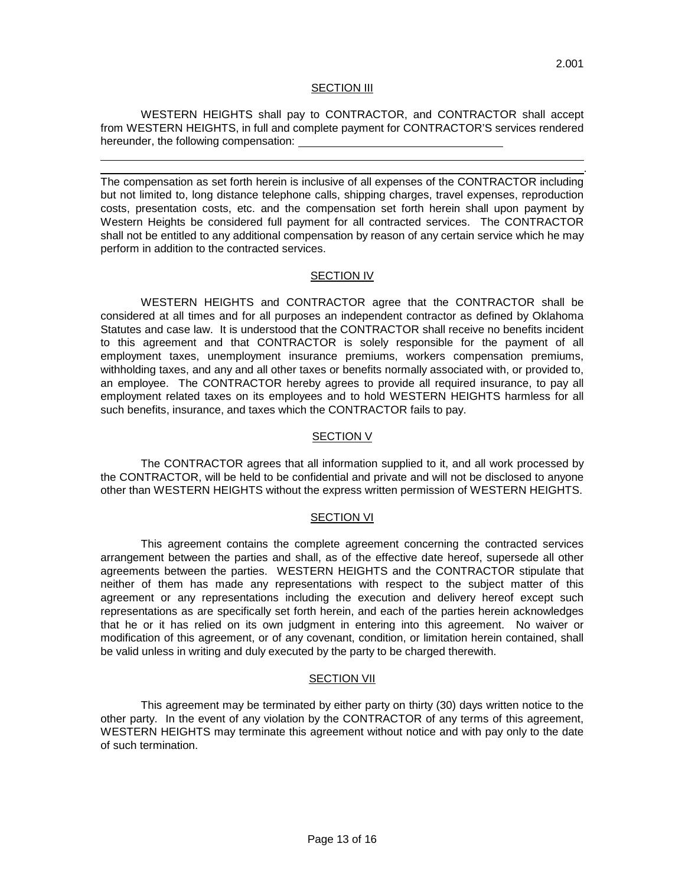#### SECTION III

WESTERN HEIGHTS shall pay to CONTRACTOR, and CONTRACTOR shall accept from WESTERN HEIGHTS, in full and complete payment for CONTRACTOR'S services rendered hereunder, the following compensation:

. The compensation as set forth herein is inclusive of all expenses of the CONTRACTOR including but not limited to, long distance telephone calls, shipping charges, travel expenses, reproduction costs, presentation costs, etc. and the compensation set forth herein shall upon payment by Western Heights be considered full payment for all contracted services. The CONTRACTOR shall not be entitled to any additional compensation by reason of any certain service which he may perform in addition to the contracted services.

#### **SECTION IV**

WESTERN HEIGHTS and CONTRACTOR agree that the CONTRACTOR shall be considered at all times and for all purposes an independent contractor as defined by Oklahoma Statutes and case law. It is understood that the CONTRACTOR shall receive no benefits incident to this agreement and that CONTRACTOR is solely responsible for the payment of all employment taxes, unemployment insurance premiums, workers compensation premiums, withholding taxes, and any and all other taxes or benefits normally associated with, or provided to, an employee. The CONTRACTOR hereby agrees to provide all required insurance, to pay all employment related taxes on its employees and to hold WESTERN HEIGHTS harmless for all such benefits, insurance, and taxes which the CONTRACTOR fails to pay.

#### SECTION V

The CONTRACTOR agrees that all information supplied to it, and all work processed by the CONTRACTOR, will be held to be confidential and private and will not be disclosed to anyone other than WESTERN HEIGHTS without the express written permission of WESTERN HEIGHTS.

#### **SECTION VI**

This agreement contains the complete agreement concerning the contracted services arrangement between the parties and shall, as of the effective date hereof, supersede all other agreements between the parties. WESTERN HEIGHTS and the CONTRACTOR stipulate that neither of them has made any representations with respect to the subject matter of this agreement or any representations including the execution and delivery hereof except such representations as are specifically set forth herein, and each of the parties herein acknowledges that he or it has relied on its own judgment in entering into this agreement. No waiver or modification of this agreement, or of any covenant, condition, or limitation herein contained, shall be valid unless in writing and duly executed by the party to be charged therewith.

#### SECTION VII

This agreement may be terminated by either party on thirty (30) days written notice to the other party. In the event of any violation by the CONTRACTOR of any terms of this agreement, WESTERN HEIGHTS may terminate this agreement without notice and with pay only to the date of such termination.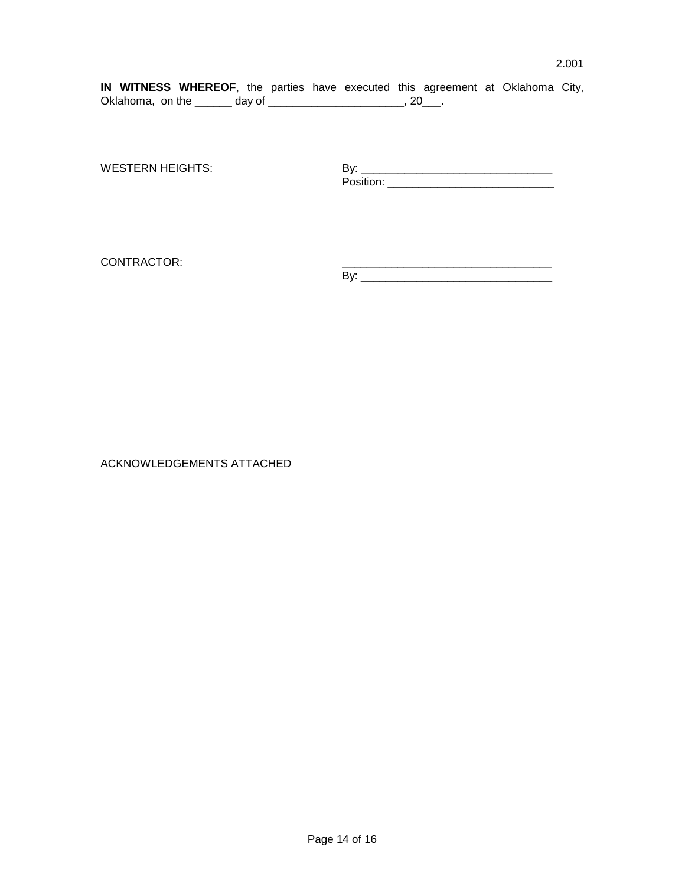**IN WITNESS WHEREOF**, the parties have executed this agreement at Oklahoma City, Oklahoma, on the \_\_\_\_\_\_\_ day of \_\_\_\_\_\_\_\_\_\_\_\_\_\_\_\_\_\_\_\_\_\_\_\_, 20\_\_\_.

WESTERN HEIGHTS: By: \_\_\_\_\_\_\_\_\_\_\_\_\_\_\_\_\_\_\_\_\_\_\_\_\_\_\_\_\_\_\_ Position: \_\_\_\_\_\_\_\_\_\_\_\_\_\_\_\_\_\_\_\_\_\_\_\_\_\_\_\_\_\_\_\_\_\_

CONTRACTOR:

By: \_\_\_\_\_\_\_\_\_\_\_\_\_\_\_\_\_\_\_\_\_\_\_\_\_\_\_\_\_\_\_

ACKNOWLEDGEMENTS ATTACHED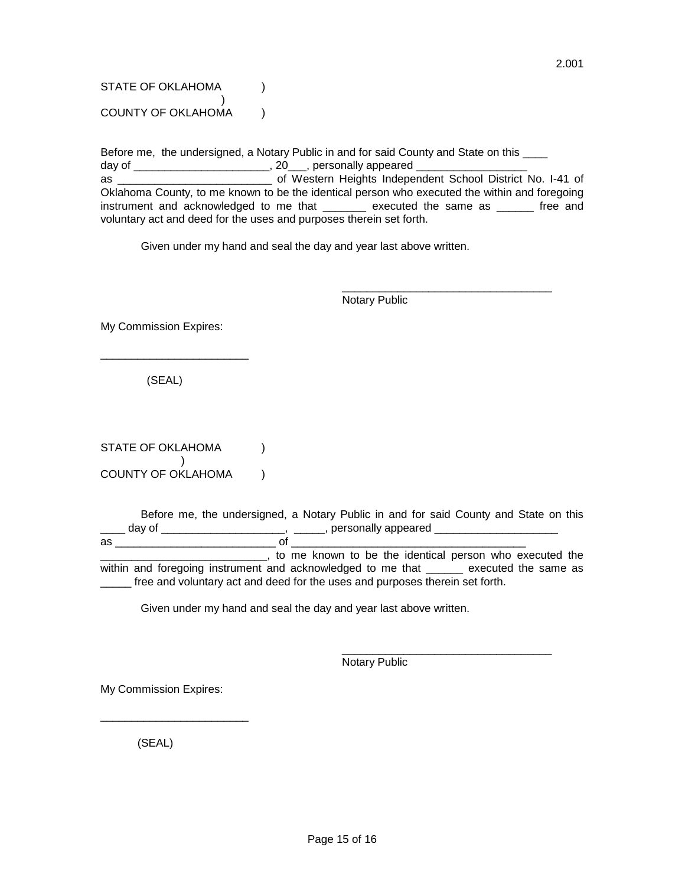STATE OF OKLAHOMA (1) ) COUNTY OF OKLAHOMA (1)

Before me, the undersigned, a Notary Public in and for said County and State on this \_\_\_\_\_ day of \_\_\_\_\_\_\_\_\_\_\_\_\_\_\_\_\_\_\_\_\_\_\_\_\_, 20\_\_\_, personally appeared \_\_\_\_\_\_\_\_\_\_\_\_\_\_\_\_\_\_\_\_ as \_\_\_\_\_\_\_\_\_\_\_\_\_\_\_\_\_\_\_\_\_\_\_\_\_ of Western Heights Independent School District No. I-41 of Oklahoma County, to me known to be the identical person who executed the within and foregoing instrument and acknowledged to me that \_\_\_\_\_\_\_ executed the same as \_\_\_\_\_\_ free and voluntary act and deed for the uses and purposes therein set forth.

Given under my hand and seal the day and year last above written.

\_\_\_\_\_\_\_\_\_\_\_\_\_\_\_\_\_\_\_\_\_\_\_\_\_\_\_\_\_\_\_\_\_\_ Notary Public

My Commission Expires:

(SEAL)

\_\_\_\_\_\_\_\_\_\_\_\_\_\_\_\_\_\_\_\_\_\_\_\_

STATE OF OKLAHOMA (1)  $\rightarrow$ COUNTY OF OKLAHOMA ()

Before me, the undersigned, a Notary Public in and for said County and State on this \_\_\_\_ day of \_\_\_\_\_\_\_\_\_\_\_\_\_\_\_\_\_\_\_\_\_\_\_, \_\_\_\_\_\_, personally appeared \_\_\_\_\_\_\_\_\_\_\_\_\_\_\_\_ as \_\_\_\_\_\_\_\_\_\_\_\_\_\_\_\_\_\_\_\_\_\_\_\_\_\_ of \_\_\_\_\_\_\_\_\_\_\_\_\_\_\_\_\_\_\_\_\_\_\_\_\_\_\_\_\_\_\_\_\_\_\_\_\_\_ **EXECUTE:** The known to be the identical person who executed the within and foregoing instrument and acknowledged to me that \_\_\_\_\_\_\_ executed the same as \_\_\_\_\_ free and voluntary act and deed for the uses and purposes therein set forth.

Given under my hand and seal the day and year last above written.

Notary Public

\_\_\_\_\_\_\_\_\_\_\_\_\_\_\_\_\_\_\_\_\_\_\_\_\_\_\_\_\_\_\_\_\_\_

My Commission Expires:

\_\_\_\_\_\_\_\_\_\_\_\_\_\_\_\_\_\_\_\_\_\_\_\_

(SEAL)